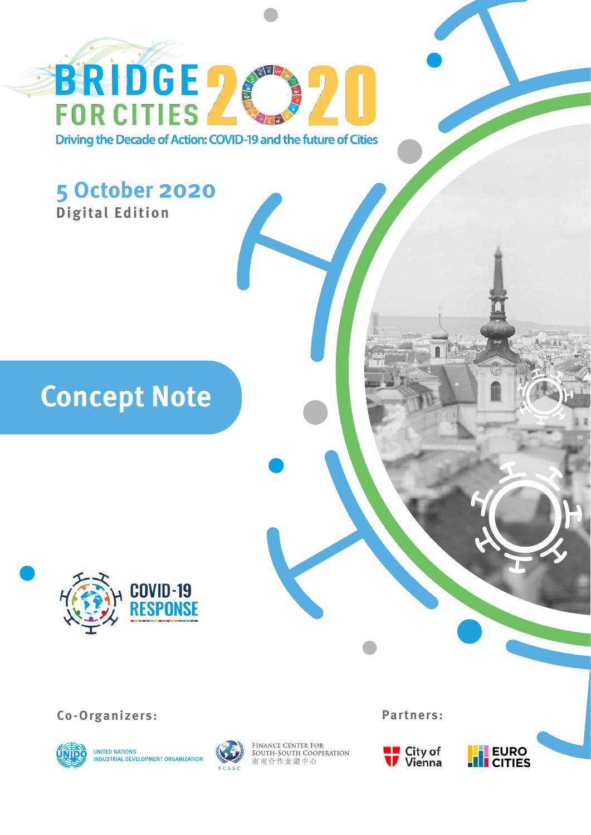**BRIDGE 2** Driving the Decade of Action: COVID-19 and the future of Cities

**DELAND** 

## **5 October 2020 Digital Edition**

**Concept Note**



**Co-Organizers: Partners:**





FINANCE CENTER FOR<br>SOUTH-SOUTH COOPERATION<br>南南合作金融中心



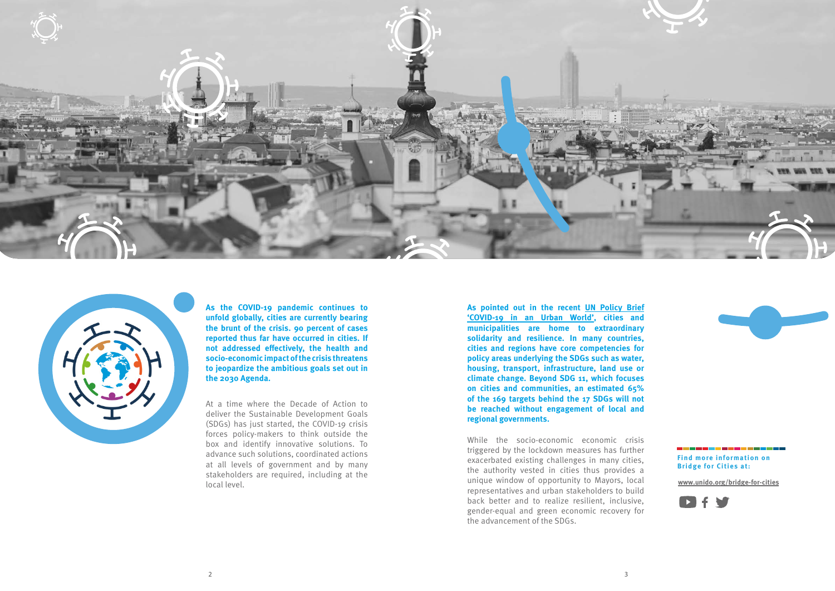



**As the COVID-19 pandemic continues to unfold globally, cities are currently bearing the brunt of the crisis. 90 percent of cases reported thus far have occurred in cities. If not addressed effectively, the health and socio-economic impact of the crisis threatens to jeopardize the ambitious goals set out in the 2030 Agenda.**

**As pointed out in the recent [UN Policy Brief](https://www.un.org/sites/un2.un.org/files/sg_policy_brief_covid_urban_world_july_2020.pdf) ['COVID-19 in an Urban World',](https://www.un.org/sites/un2.un.org/files/sg_policy_brief_covid_urban_world_july_2020.pdf) cities and municipalities are home to extraordinary solidarity and resilience. In many countries, cities and regions have core competencies for policy areas underlying the SDGs such as water, housing, transport, infrastructure, land use or climate change. Beyond SDG 11, which focuses on cities and communities, an estimated 65% of the 169 targets behind the 17 SDGs will not be reached without engagement of local and regional governments.**

At a time where the Decade of Action to deliver the Sustainable Development Goals (SDGs) has just started, the COVID-19 crisis forces policy-makers to think outside the box and identify innovative solutions. To advance such solutions, coordinated actions at all levels of government and by many stakeholders are required, including at the local level.

**Find more information on Bridge for Cities at:**

While the socio-economic economic crisis triggered by the lockdown measures has further exacerbated existing challenges in many cities, the authority vested in cities thus provides a unique window of opportunity to Mayors, local representatives and urban stakeholders to build back better and to realize resilient, inclusive, gender-equal and green economic recovery for the advancement of the SDGs.



**www.unido.org/bridge-for-cities**

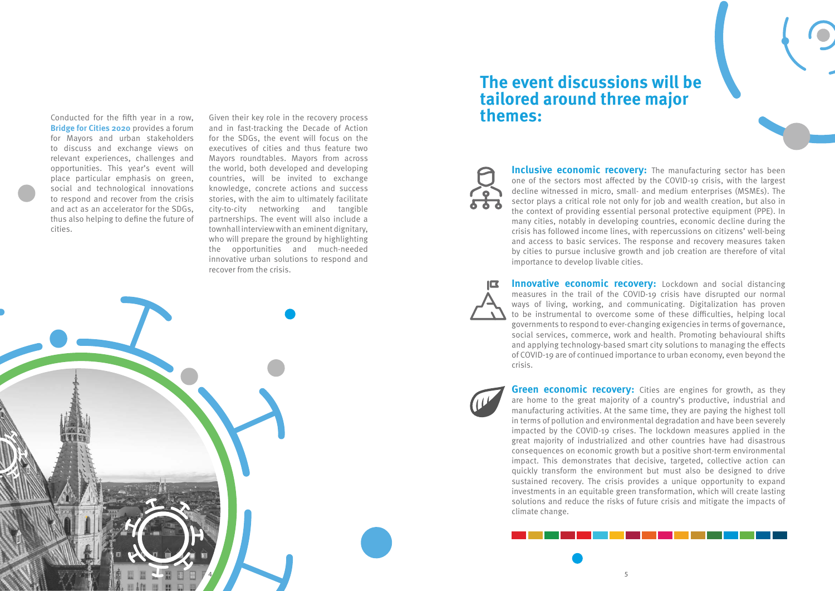

Conducted for the fifth year in a row, **Bridge for Cities 2020** provides a forum for Mayors and urban stakeholders to discuss and exchange views on relevant experiences, challenges and opportunities. This year's event will place particular emphasis on green, social and technological innovations to respond and recover from the crisis and act as an accelerator for the SDGs, thus also helping to define the future of cities.



**Inclusive economic recovery:** The manufacturing sector has been one of the sectors most affected by the COVID-19 crisis, with the largest decline witnessed in micro, small- and medium enterprises (MSMEs). The sector plays a critical role not only for job and wealth creation, but also in the context of providing essential personal protective equipment (PPE). In many cities, notably in developing countries, economic decline during the crisis has followed income lines, with repercussions on citizens' well-being and access to basic services. The response and recovery measures taken by cities to pursue inclusive growth and job creation are therefore of vital importance to develop livable cities.



**Green economic recovery:** Cities are engines for growth, as they are home to the great majority of a country's productive, industrial and manufacturing activities. At the same time, they are paying the highest toll in terms of pollution and environmental degradation and have been severely impacted by the COVID-19 crises. The lockdown measures applied in the great majority of industrialized and other countries have had disastrous consequences on economic growth but a positive short-term environmental impact. This demonstrates that decisive, targeted, collective action can quickly transform the environment but must also be designed to drive sustained recovery. The crisis provides a unique opportunity to expand investments in an equitable green transformation, which will create lasting solutions and reduce the risks of future crisis and mitigate the impacts of climate change.

**Innovative economic recovery:** Lockdown and social distancing measures in the trail of the COVID-19 crisis have disrupted our normal ways of living, working, and communicating. Digitalization has proven to be instrumental to overcome some of these difficulties, helping local governments to respond to ever-changing exigencies in terms of governance, social services, commerce, work and health. Promoting behavioural shifts and applying technology-based smart city solutions to managing the effects of COVID-19 are of continued importance to urban economy, even beyond the crisis.



## **The event discussions will be tailored around three major themes:**

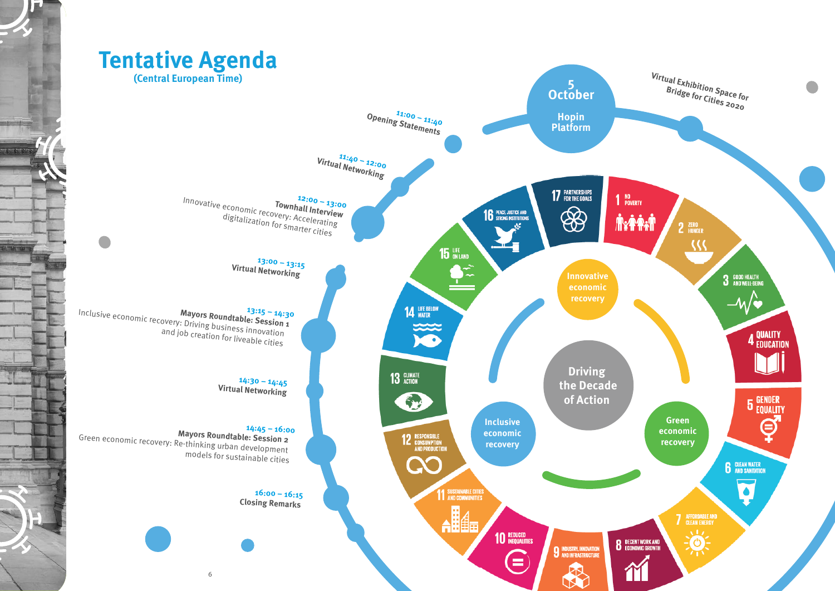